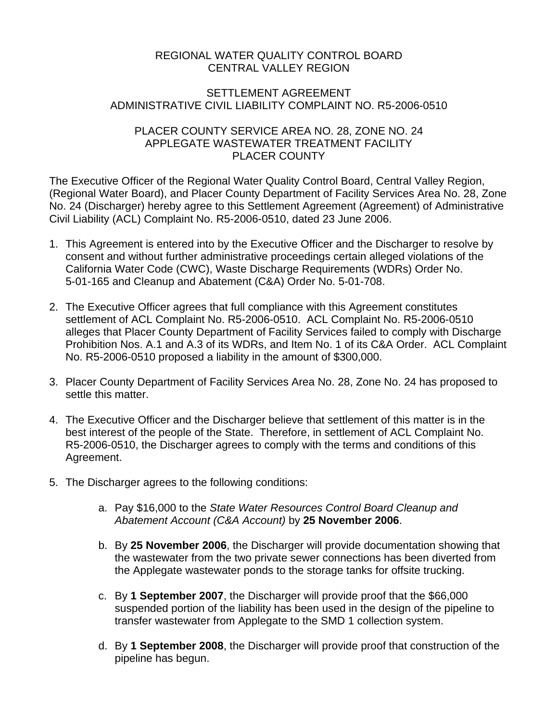## REGIONAL WATER QUALITY CONTROL BOARD CENTRAL VALLEY REGION

## SETTLEMENT AGREEMENT ADMINISTRATIVE CIVIL LIABILITY COMPLAINT NO. R5-2006-0510

## PLACER COUNTY SERVICE AREA NO. 28, ZONE NO. 24 APPLEGATE WASTEWATER TREATMENT FACILITY PLACER COUNTY

The Executive Officer of the Regional Water Quality Control Board, Central Valley Region, (Regional Water Board), and Placer County Department of Facility Services Area No. 28, Zone No. 24 (Discharger) hereby agree to this Settlement Agreement (Agreement) of Administrative Civil Liability (ACL) Complaint No. R5-2006-0510, dated 23 June 2006.

- 1. This Agreement is entered into by the Executive Officer and the Discharger to resolve by consent and without further administrative proceedings certain alleged violations of the California Water Code (CWC), Waste Discharge Requirements (WDRs) Order No. 5-01-165 and Cleanup and Abatement (C&A) Order No. 5-01-708.
- 2. The Executive Officer agrees that full compliance with this Agreement constitutes settlement of ACL Complaint No. R5-2006-0510. ACL Complaint No. R5-2006-0510 alleges that Placer County Department of Facility Services failed to comply with Discharge Prohibition Nos. A.1 and A.3 of its WDRs, and Item No. 1 of its C&A Order. ACL Complaint No. R5-2006-0510 proposed a liability in the amount of \$300,000.
- 3. Placer County Department of Facility Services Area No. 28, Zone No. 24 has proposed to settle this matter.
- 4. The Executive Officer and the Discharger believe that settlement of this matter is in the best interest of the people of the State. Therefore, in settlement of ACL Complaint No. R5-2006-0510, the Discharger agrees to comply with the terms and conditions of this Agreement.
- 5. The Discharger agrees to the following conditions:
	- a. Pay \$16,000 to the *State Water Resources Control Board Cleanup and Abatement Account (C&A Account)* by **25 November 2006**.
	- b. By **25 November 2006**, the Discharger will provide documentation showing that the wastewater from the two private sewer connections has been diverted from the Applegate wastewater ponds to the storage tanks for offsite trucking.
	- c. By **1 September 2007**, the Discharger will provide proof that the \$66,000 suspended portion of the liability has been used in the design of the pipeline to transfer wastewater from Applegate to the SMD 1 collection system.
	- d. By **1 September 2008**, the Discharger will provide proof that construction of the pipeline has begun.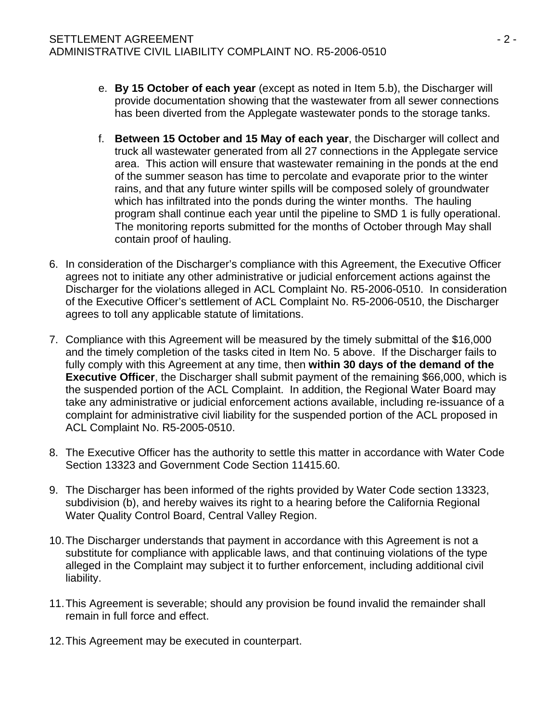- e. **By 15 October of each year** (except as noted in Item 5.b), the Discharger will provide documentation showing that the wastewater from all sewer connections has been diverted from the Applegate wastewater ponds to the storage tanks.
- f. **Between 15 October and 15 May of each year**, the Discharger will collect and truck all wastewater generated from all 27 connections in the Applegate service area. This action will ensure that wastewater remaining in the ponds at the end of the summer season has time to percolate and evaporate prior to the winter rains, and that any future winter spills will be composed solely of groundwater which has infiltrated into the ponds during the winter months. The hauling program shall continue each year until the pipeline to SMD 1 is fully operational. The monitoring reports submitted for the months of October through May shall contain proof of hauling.
- 6. In consideration of the Discharger's compliance with this Agreement, the Executive Officer agrees not to initiate any other administrative or judicial enforcement actions against the Discharger for the violations alleged in ACL Complaint No. R5-2006-0510. In consideration of the Executive Officer's settlement of ACL Complaint No. R5-2006-0510, the Discharger agrees to toll any applicable statute of limitations.
- 7. Compliance with this Agreement will be measured by the timely submittal of the \$16,000 and the timely completion of the tasks cited in Item No. 5 above. If the Discharger fails to fully comply with this Agreement at any time, then **within 30 days of the demand of the Executive Officer**, the Discharger shall submit payment of the remaining \$66,000, which is the suspended portion of the ACL Complaint. In addition, the Regional Water Board may take any administrative or judicial enforcement actions available, including re-issuance of a complaint for administrative civil liability for the suspended portion of the ACL proposed in ACL Complaint No. R5-2005-0510.
- 8. The Executive Officer has the authority to settle this matter in accordance with Water Code Section 13323 and Government Code Section 11415.60.
- 9. The Discharger has been informed of the rights provided by Water Code section 13323, subdivision (b), and hereby waives its right to a hearing before the California Regional Water Quality Control Board, Central Valley Region.
- 10. The Discharger understands that payment in accordance with this Agreement is not a substitute for compliance with applicable laws, and that continuing violations of the type alleged in the Complaint may subject it to further enforcement, including additional civil liability.
- 11. This Agreement is severable; should any provision be found invalid the remainder shall remain in full force and effect.
- 12. This Agreement may be executed in counterpart.